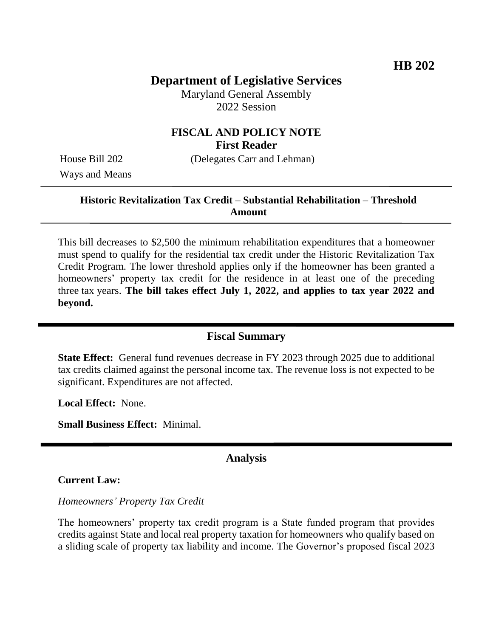# **Department of Legislative Services**

Maryland General Assembly 2022 Session

### **FISCAL AND POLICY NOTE First Reader**

Ways and Means

House Bill 202 (Delegates Carr and Lehman)

## **Historic Revitalization Tax Credit – Substantial Rehabilitation – Threshold Amount**

This bill decreases to \$2,500 the minimum rehabilitation expenditures that a homeowner must spend to qualify for the residential tax credit under the Historic Revitalization Tax Credit Program. The lower threshold applies only if the homeowner has been granted a homeowners' property tax credit for the residence in at least one of the preceding three tax years. **The bill takes effect July 1, 2022, and applies to tax year 2022 and beyond.**

### **Fiscal Summary**

**State Effect:** General fund revenues decrease in FY 2023 through 2025 due to additional tax credits claimed against the personal income tax. The revenue loss is not expected to be significant. Expenditures are not affected.

**Local Effect:** None.

**Small Business Effect:** Minimal.

### **Analysis**

#### **Current Law:**

*Homeowners' Property Tax Credit*

The homeowners' property tax credit program is a State funded program that provides credits against State and local real property taxation for homeowners who qualify based on a sliding scale of property tax liability and income. The Governor's proposed fiscal 2023